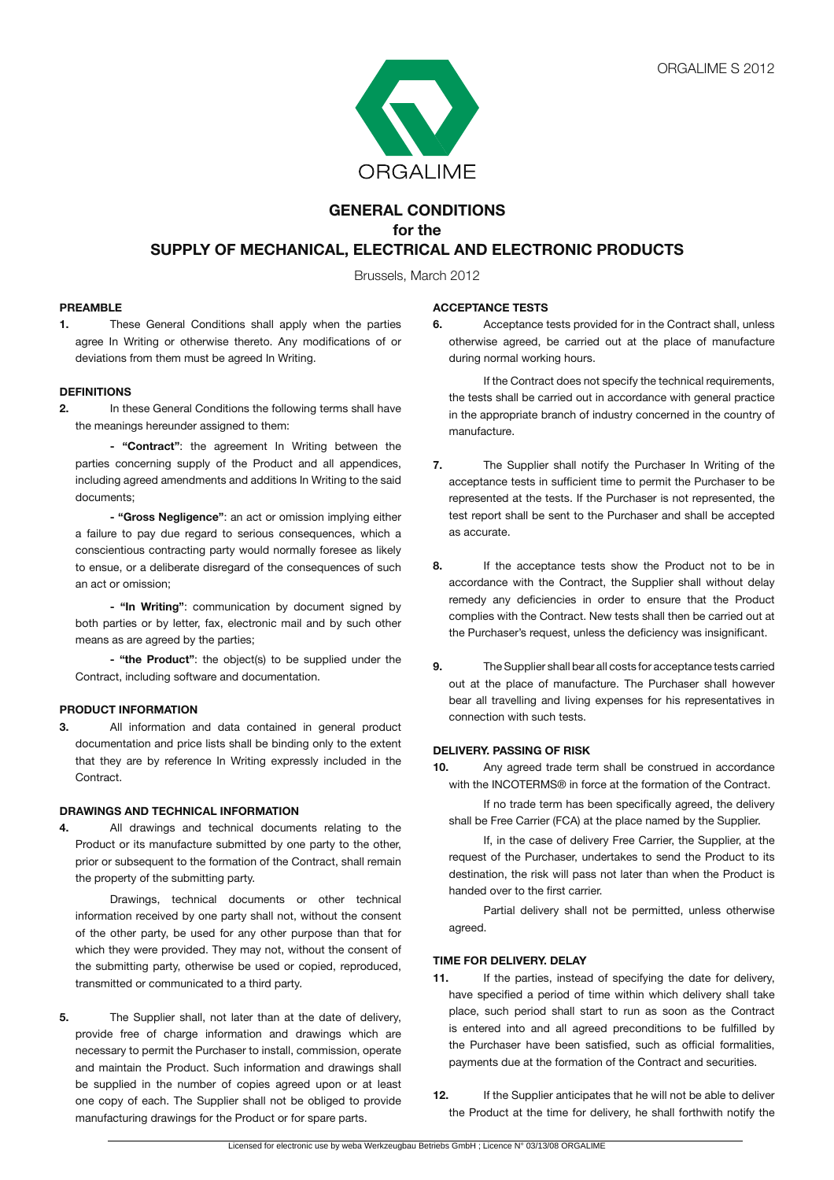

# **GENERAL CONDITIONS for the SUPPLY OF MECHANICAL, ELECTRICAL AND ELECTRONIC PRODUCTS**

Brussels, March 2012

#### **PREAMBLE**

**1.** These General Conditions shall apply when the parties agree In Writing or otherwise thereto. Any modifications of or deviations from them must be agreed In Writing.

## **DEFINITIONS**

**2.** In these General Conditions the following terms shall have the meanings hereunder assigned to them:

**- "Contract"**: the agreement In Writing between the parties concerning supply of the Product and all appendices, including agreed amendments and additions In Writing to the said documents;

**- "Gross Negligence"**: an act or omission implying either a failure to pay due regard to serious consequences, which a conscientious contracting party would normally foresee as likely to ensue, or a deliberate disregard of the consequences of such an act or omission;

 **- "In Writing"**: communication by document signed by both parties or by letter, fax, electronic mail and by such other means as are agreed by the parties;

**- "the Product"**: the object(s) to be supplied under the Contract, including software and documentation.

#### **PRODUCT INFORMATION**

**3.** All information and data contained in general product documentation and price lists shall be binding only to the extent that they are by reference In Writing expressly included in the Contract.

#### **DRAWINGS AND TECHNICAL INFORMATION**

**4.** All drawings and technical documents relating to the Product or its manufacture submitted by one party to the other, prior or subsequent to the formation of the Contract, shall remain the property of the submitting party.

 Drawings, technical documents or other technical information received by one party shall not, without the consent of the other party, be used for any other purpose than that for which they were provided. They may not, without the consent of the submitting party, otherwise be used or copied, reproduced, transmitted or communicated to a third party.

**5.** The Supplier shall, not later than at the date of delivery, provide free of charge information and drawings which are necessary to permit the Purchaser to install, commission, operate and maintain the Product. Such information and drawings shall be supplied in the number of copies agreed upon or at least one copy of each. The Supplier shall not be obliged to provide manufacturing drawings for the Product or for spare parts.

#### **ACCEPTANCE TESTS**

**6.** Acceptance tests provided for in the Contract shall, unless otherwise agreed, be carried out at the place of manufacture during normal working hours.

 If the Contract does not specify the technical requirements, the tests shall be carried out in accordance with general practice in the appropriate branch of industry concerned in the country of manufacture.

- **7.** The Supplier shall notify the Purchaser In Writing of the acceptance tests in sufficient time to permit the Purchaser to be represented at the tests. If the Purchaser is not represented, the test report shall be sent to the Purchaser and shall be accepted as accurate.
- **8.** If the acceptance tests show the Product not to be in accordance with the Contract, the Supplier shall without delay remedy any deficiencies in order to ensure that the Product complies with the Contract. New tests shall then be carried out at the Purchaser's request, unless the deficiency was insignificant.
- **9.** The Supplier shall bear all costs for acceptance tests carried out at the place of manufacture. The Purchaser shall however bear all travelling and living expenses for his representatives in connection with such tests.

#### **DELIVERY. PASSING OF RISK**

**10.** Any agreed trade term shall be construed in accordance with the INCOTERMS® in force at the formation of the Contract.

 If no trade term has been specifically agreed, the delivery shall be Free Carrier (FCA) at the place named by the Supplier.

 If, in the case of delivery Free Carrier, the Supplier, at the request of the Purchaser, undertakes to send the Product to its destination, the risk will pass not later than when the Product is handed over to the first carrier.

 Partial delivery shall not be permitted, unless otherwise agreed.

## **TIME FOR DELIVERY. DELAY**

- **11.** If the parties, instead of specifying the date for delivery, have specified a period of time within which delivery shall take place, such period shall start to run as soon as the Contract is entered into and all agreed preconditions to be fulfilled by the Purchaser have been satisfied, such as official formalities, payments due at the formation of the Contract and securities.
- **12.** If the Supplier anticipates that he will not be able to deliver the Product at the time for delivery, he shall forthwith notify the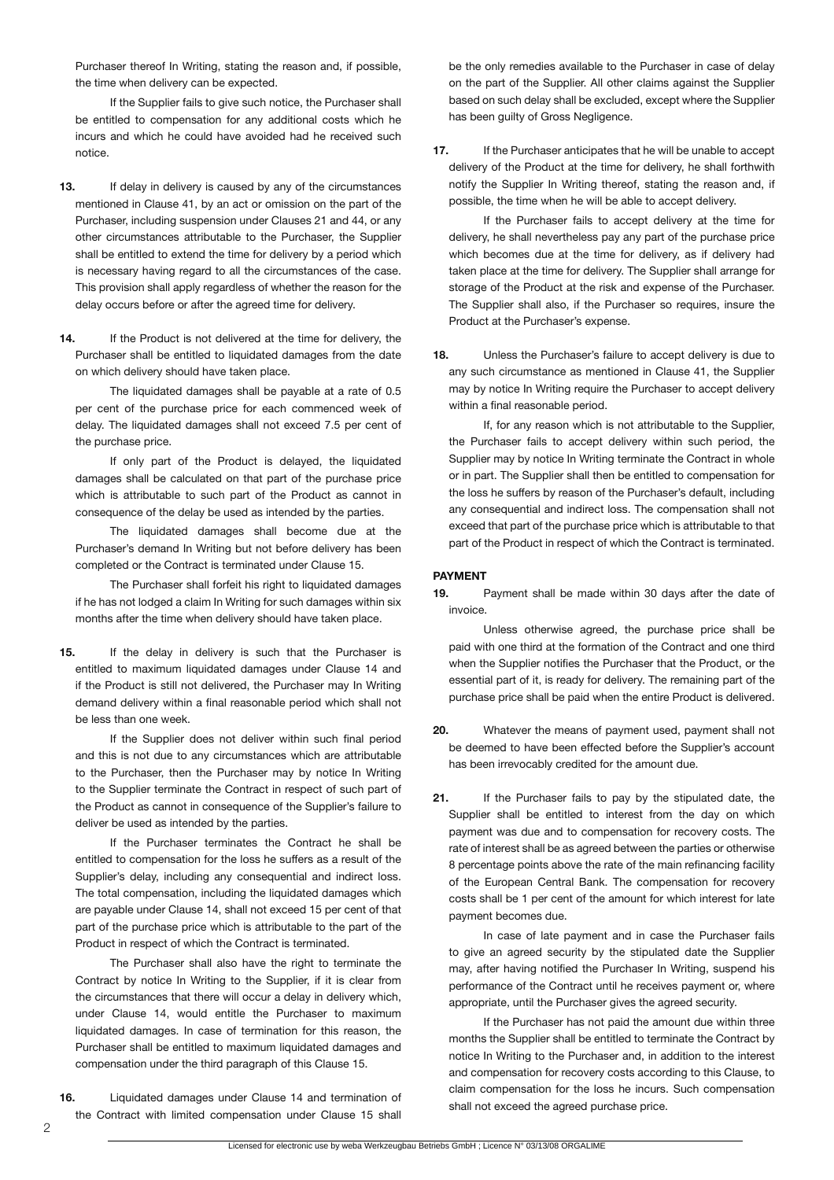Purchaser thereof In Writing, stating the reason and, if possible, the time when delivery can be expected.

 If the Supplier fails to give such notice, the Purchaser shall be entitled to compensation for any additional costs which he incurs and which he could have avoided had he received such notice.

- **13.** If delay in delivery is caused by any of the circumstances mentioned in Clause 41, by an act or omission on the part of the Purchaser, including suspension under Clauses 21 and 44, or any other circumstances attributable to the Purchaser, the Supplier shall be entitled to extend the time for delivery by a period which is necessary having regard to all the circumstances of the case. This provision shall apply regardless of whether the reason for the delay occurs before or after the agreed time for delivery.
- 14. If the Product is not delivered at the time for delivery, the Purchaser shall be entitled to liquidated damages from the date on which delivery should have taken place.

 The liquidated damages shall be payable at a rate of 0.5 per cent of the purchase price for each commenced week of delay. The liquidated damages shall not exceed 7.5 per cent of the purchase price.

 If only part of the Product is delayed, the liquidated damages shall be calculated on that part of the purchase price which is attributable to such part of the Product as cannot in consequence of the delay be used as intended by the parties.

 The liquidated damages shall become due at the Purchaser's demand In Writing but not before delivery has been completed or the Contract is terminated under Clause 15.

 The Purchaser shall forfeit his right to liquidated damages if he has not lodged a claim In Writing for such damages within six months after the time when delivery should have taken place.

**15.** If the delay in delivery is such that the Purchaser is entitled to maximum liquidated damages under Clause 14 and if the Product is still not delivered, the Purchaser may In Writing demand delivery within a final reasonable period which shall not be less than one week.

 If the Supplier does not deliver within such final period and this is not due to any circumstances which are attributable to the Purchaser, then the Purchaser may by notice In Writing to the Supplier terminate the Contract in respect of such part of the Product as cannot in consequence of the Supplier's failure to deliver be used as intended by the parties.

 If the Purchaser terminates the Contract he shall be entitled to compensation for the loss he suffers as a result of the Supplier's delay, including any consequential and indirect loss. The total compensation, including the liquidated damages which are payable under Clause 14, shall not exceed 15 per cent of that part of the purchase price which is attributable to the part of the Product in respect of which the Contract is terminated.

 The Purchaser shall also have the right to terminate the Contract by notice In Writing to the Supplier, if it is clear from the circumstances that there will occur a delay in delivery which, under Clause 14, would entitle the Purchaser to maximum liquidated damages. In case of termination for this reason, the Purchaser shall be entitled to maximum liquidated damages and compensation under the third paragraph of this Clause 15.

**16.** Liquidated damages under Clause 14 and termination of the Contract with limited compensation under Clause 15 shall

be the only remedies available to the Purchaser in case of delay on the part of the Supplier. All other claims against the Supplier based on such delay shall be excluded, except where the Supplier has been guilty of Gross Negligence.

**17.** If the Purchaser anticipates that he will be unable to accept delivery of the Product at the time for delivery, he shall forthwith notify the Supplier In Writing thereof, stating the reason and, if possible, the time when he will be able to accept delivery.

 If the Purchaser fails to accept delivery at the time for delivery, he shall nevertheless pay any part of the purchase price which becomes due at the time for delivery, as if delivery had taken place at the time for delivery. The Supplier shall arrange for storage of the Product at the risk and expense of the Purchaser. The Supplier shall also, if the Purchaser so requires, insure the Product at the Purchaser's expense.

**18.** Unless the Purchaser's failure to accept delivery is due to any such circumstance as mentioned in Clause 41, the Supplier may by notice In Writing require the Purchaser to accept delivery within a final reasonable period.

 If, for any reason which is not attributable to the Supplier, the Purchaser fails to accept delivery within such period, the Supplier may by notice In Writing terminate the Contract in whole or in part. The Supplier shall then be entitled to compensation for the loss he suffers by reason of the Purchaser's default, including any consequential and indirect loss. The compensation shall not exceed that part of the purchase price which is attributable to that part of the Product in respect of which the Contract is terminated.

#### **PAYMENT**

**19.** Payment shall be made within 30 days after the date of invoice.

 Unless otherwise agreed, the purchase price shall be paid with one third at the formation of the Contract and one third when the Supplier notifies the Purchaser that the Product, or the essential part of it, is ready for delivery. The remaining part of the purchase price shall be paid when the entire Product is delivered.

- **20.** Whatever the means of payment used, payment shall not be deemed to have been effected before the Supplier's account has been irrevocably credited for the amount due.
- **21.** If the Purchaser fails to pay by the stipulated date, the Supplier shall be entitled to interest from the day on which payment was due and to compensation for recovery costs. The rate of interest shall be as agreed between the parties or otherwise 8 percentage points above the rate of the main refinancing facility of the European Central Bank. The compensation for recovery costs shall be 1 per cent of the amount for which interest for late payment becomes due.

 In case of late payment and in case the Purchaser fails to give an agreed security by the stipulated date the Supplier may, after having notified the Purchaser In Writing, suspend his performance of the Contract until he receives payment or, where appropriate, until the Purchaser gives the agreed security.

 If the Purchaser has not paid the amount due within three months the Supplier shall be entitled to terminate the Contract by notice In Writing to the Purchaser and, in addition to the interest and compensation for recovery costs according to this Clause, to claim compensation for the loss he incurs. Such compensation shall not exceed the agreed purchase price.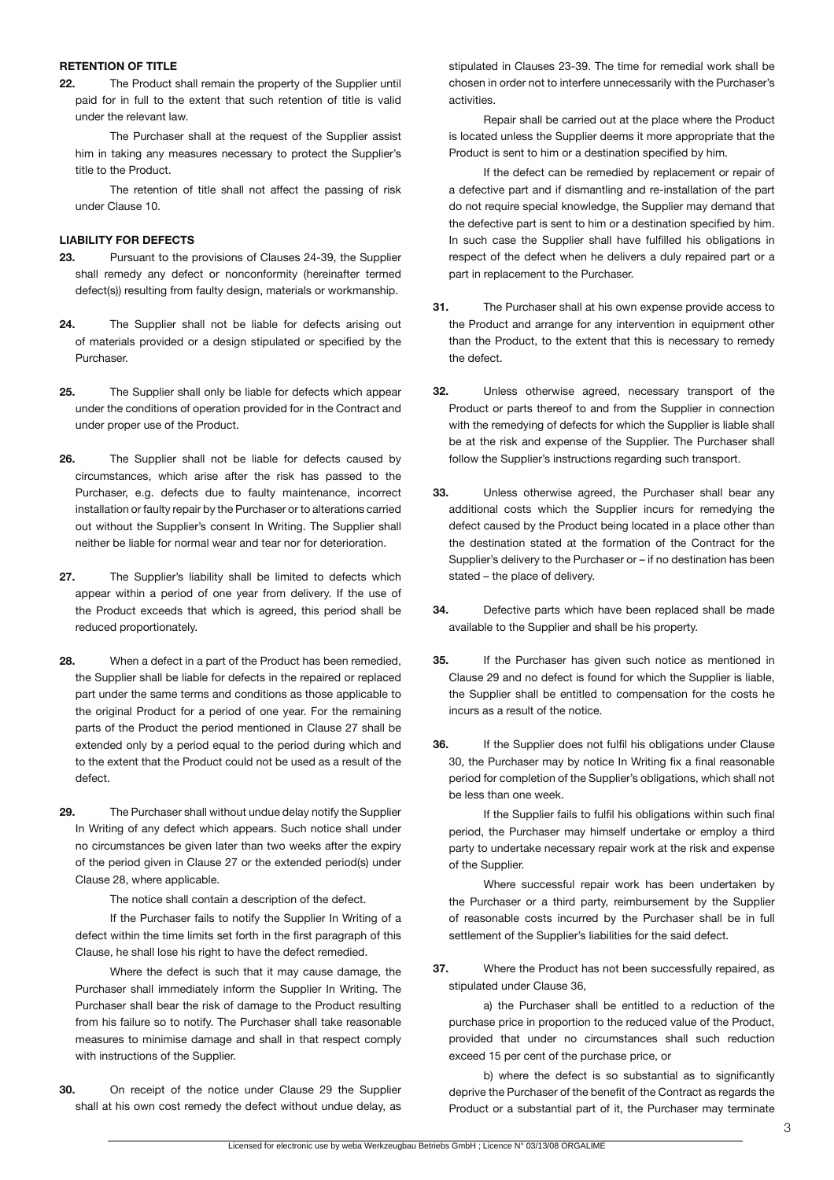#### **RETENTION OF TITLE**

**22.** The Product shall remain the property of the Supplier until paid for in full to the extent that such retention of title is valid under the relevant law.

 The Purchaser shall at the request of the Supplier assist him in taking any measures necessary to protect the Supplier's title to the Product.

 The retention of title shall not affect the passing of risk under Clause 10.

## **LIABILITY FOR DEFECTS**

- **23.** Pursuant to the provisions of Clauses 24-39, the Supplier shall remedy any defect or nonconformity (hereinafter termed defect(s)) resulting from faulty design, materials or workmanship.
- **24.** The Supplier shall not be liable for defects arising out of materials provided or a design stipulated or specified by the Purchaser.
- **25.** The Supplier shall only be liable for defects which appear under the conditions of operation provided for in the Contract and under proper use of the Product.
- **26.** The Supplier shall not be liable for defects caused by circumstances, which arise after the risk has passed to the Purchaser, e.g. defects due to faulty maintenance, incorrect installation or faulty repair by the Purchaser or to alterations carried out without the Supplier's consent In Writing. The Supplier shall neither be liable for normal wear and tear nor for deterioration.
- **27.** The Supplier's liability shall be limited to defects which appear within a period of one year from delivery. If the use of the Product exceeds that which is agreed, this period shall be reduced proportionately.
- **28.** When a defect in a part of the Product has been remedied, the Supplier shall be liable for defects in the repaired or replaced part under the same terms and conditions as those applicable to the original Product for a period of one year. For the remaining parts of the Product the period mentioned in Clause 27 shall be extended only by a period equal to the period during which and to the extent that the Product could not be used as a result of the defect.
- **29.** The Purchaser shall without undue delay notify the Supplier In Writing of any defect which appears. Such notice shall under no circumstances be given later than two weeks after the expiry of the period given in Clause 27 or the extended period(s) under Clause 28, where applicable.

 The notice shall contain a description of the defect.

 If the Purchaser fails to notify the Supplier In Writing of a defect within the time limits set forth in the first paragraph of this Clause, he shall lose his right to have the defect remedied.

 Where the defect is such that it may cause damage, the Purchaser shall immediately inform the Supplier In Writing. The Purchaser shall bear the risk of damage to the Product resulting from his failure so to notify. The Purchaser shall take reasonable measures to minimise damage and shall in that respect comply with instructions of the Supplier.

**30.** On receipt of the notice under Clause 29 the Supplier shall at his own cost remedy the defect without undue delay, as

stipulated in Clauses 23-39. The time for remedial work shall be chosen in order not to interfere unnecessarily with the Purchaser's activities.

 Repair shall be carried out at the place where the Product is located unless the Supplier deems it more appropriate that the Product is sent to him or a destination specified by him.

 If the defect can be remedied by replacement or repair of a defective part and if dismantling and re-installation of the part do not require special knowledge, the Supplier may demand that the defective part is sent to him or a destination specified by him. In such case the Supplier shall have fulfilled his obligations in respect of the defect when he delivers a duly repaired part or a part in replacement to the Purchaser.

- **31.** The Purchaser shall at his own expense provide access to the Product and arrange for any intervention in equipment other than the Product, to the extent that this is necessary to remedy the defect.
- **32.** Unless otherwise agreed, necessary transport of the Product or parts thereof to and from the Supplier in connection with the remedying of defects for which the Supplier is liable shall be at the risk and expense of the Supplier. The Purchaser shall follow the Supplier's instructions regarding such transport.
- **33.** Unless otherwise agreed, the Purchaser shall bear any additional costs which the Supplier incurs for remedying the defect caused by the Product being located in a place other than the destination stated at the formation of the Contract for the Supplier's delivery to the Purchaser or – if no destination has been stated – the place of delivery.
- **34.** Defective parts which have been replaced shall be made available to the Supplier and shall be his property.
- **35.** If the Purchaser has given such notice as mentioned in Clause 29 and no defect is found for which the Supplier is liable, the Supplier shall be entitled to compensation for the costs he incurs as a result of the notice.
- **36.** If the Supplier does not fulfil his obligations under Clause 30, the Purchaser may by notice In Writing fix a final reasonable period for completion of the Supplier's obligations, which shall not be less than one week.

 If the Supplier fails to fulfil his obligations within such final period, the Purchaser may himself undertake or employ a third party to undertake necessary repair work at the risk and expense of the Supplier.

 Where successful repair work has been undertaken by the Purchaser or a third party, reimbursement by the Supplier of reasonable costs incurred by the Purchaser shall be in full settlement of the Supplier's liabilities for the said defect.

**37.** Where the Product has not been successfully repaired, as stipulated under Clause 36,

 a) the Purchaser shall be entitled to a reduction of the purchase price in proportion to the reduced value of the Product, provided that under no circumstances shall such reduction exceed 15 per cent of the purchase price, or

b) where the defect is so substantial as to significantly deprive the Purchaser of the benefit of the Contract as regards the Product or a substantial part of it, the Purchaser may terminate